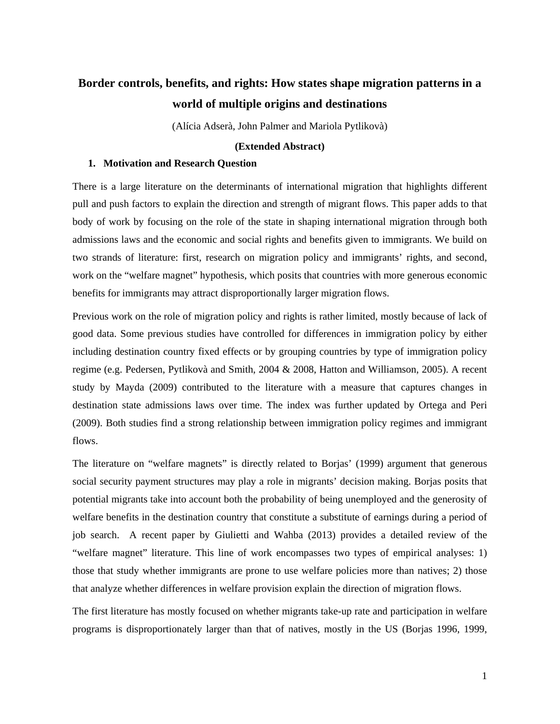# **Border controls, benefits, and rights: How states shape migration patterns in a world of multiple origins and destinations**

(Alícia Adserà, John Palmer and Mariola Pytlikovà)

# **(Extended Abstract)**

## **1. Motivation and Research Question**

There is a large literature on the determinants of international migration that highlights different pull and push factors to explain the direction and strength of migrant flows. This paper adds to that body of work by focusing on the role of the state in shaping international migration through both admissions laws and the economic and social rights and benefits given to immigrants. We build on two strands of literature: first, research on migration policy and immigrants' rights, and second, work on the "welfare magnet" hypothesis, which posits that countries with more generous economic benefits for immigrants may attract disproportionally larger migration flows.

Previous work on the role of migration policy and rights is rather limited, mostly because of lack of good data. Some previous studies have controlled for differences in immigration policy by either including destination country fixed effects or by grouping countries by type of immigration policy regime (e.g. Pedersen, Pytlikovà and Smith, 2004 & 2008, Hatton and Williamson, 2005). A recent study by Mayda (2009) contributed to the literature with a measure that captures changes in destination state admissions laws over time. The index was further updated by Ortega and Peri (2009). Both studies find a strong relationship between immigration policy regimes and immigrant flows.

The literature on "welfare magnets" is directly related to Borjas' (1999) argument that generous social security payment structures may play a role in migrants' decision making. Borjas posits that potential migrants take into account both the probability of being unemployed and the generosity of welfare benefits in the destination country that constitute a substitute of earnings during a period of job search. A recent paper by Giulietti and Wahba (2013) provides a detailed review of the "welfare magnet" literature. This line of work encompasses two types of empirical analyses: 1) those that study whether immigrants are prone to use welfare policies more than natives; 2) those that analyze whether differences in welfare provision explain the direction of migration flows.

The first literature has mostly focused on whether migrants take-up rate and participation in welfare programs is disproportionately larger than that of natives, mostly in the US (Borjas 1996, 1999,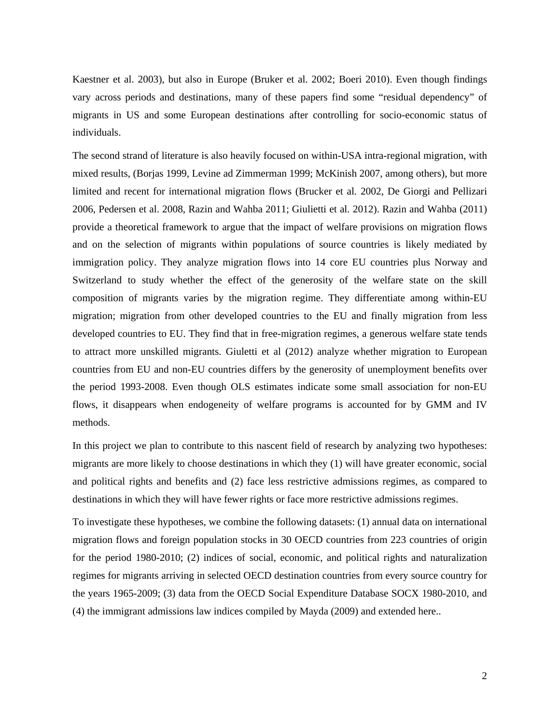Kaestner et al. 2003), but also in Europe (Bruker et al. 2002; Boeri 2010). Even though findings vary across periods and destinations, many of these papers find some "residual dependency" of migrants in US and some European destinations after controlling for socio-economic status of individuals.

The second strand of literature is also heavily focused on within-USA intra-regional migration, with mixed results, (Borjas 1999, Levine ad Zimmerman 1999; McKinish 2007, among others), but more limited and recent for international migration flows (Brucker et al. 2002, De Giorgi and Pellizari 2006, Pedersen et al. 2008, Razin and Wahba 2011; Giulietti et al. 2012). Razin and Wahba (2011) provide a theoretical framework to argue that the impact of welfare provisions on migration flows and on the selection of migrants within populations of source countries is likely mediated by immigration policy. They analyze migration flows into 14 core EU countries plus Norway and Switzerland to study whether the effect of the generosity of the welfare state on the skill composition of migrants varies by the migration regime. They differentiate among within-EU migration; migration from other developed countries to the EU and finally migration from less developed countries to EU. They find that in free-migration regimes, a generous welfare state tends to attract more unskilled migrants. Giuletti et al (2012) analyze whether migration to European countries from EU and non-EU countries differs by the generosity of unemployment benefits over the period 1993-2008. Even though OLS estimates indicate some small association for non-EU flows, it disappears when endogeneity of welfare programs is accounted for by GMM and IV methods.

In this project we plan to contribute to this nascent field of research by analyzing two hypotheses: migrants are more likely to choose destinations in which they (1) will have greater economic, social and political rights and benefits and (2) face less restrictive admissions regimes, as compared to destinations in which they will have fewer rights or face more restrictive admissions regimes.

To investigate these hypotheses, we combine the following datasets: (1) annual data on international migration flows and foreign population stocks in 30 OECD countries from 223 countries of origin for the period 1980-2010; (2) indices of social, economic, and political rights and naturalization regimes for migrants arriving in selected OECD destination countries from every source country for the years 1965-2009; (3) data from the OECD Social Expenditure Database SOCX 1980-2010, and (4) the immigrant admissions law indices compiled by Mayda (2009) and extended here..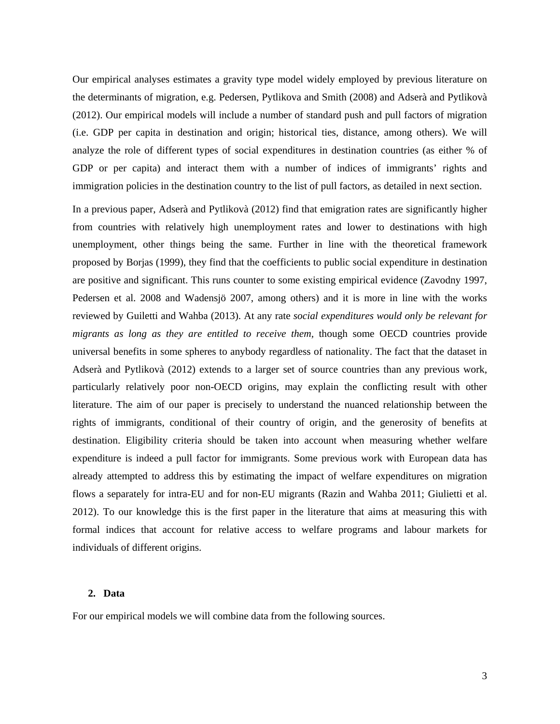Our empirical analyses estimates a gravity type model widely employed by previous literature on the determinants of migration, e.g. Pedersen, Pytlikova and Smith (2008) and Adserà and Pytlikovà (2012). Our empirical models will include a number of standard push and pull factors of migration (i.e. GDP per capita in destination and origin; historical ties, distance, among others). We will analyze the role of different types of social expenditures in destination countries (as either % of GDP or per capita) and interact them with a number of indices of immigrants' rights and immigration policies in the destination country to the list of pull factors, as detailed in next section.

In a previous paper, Adserà and Pytlikovà (2012) find that emigration rates are significantly higher from countries with relatively high unemployment rates and lower to destinations with high unemployment, other things being the same. Further in line with the theoretical framework proposed by Borjas (1999), they find that the coefficients to public social expenditure in destination are positive and significant. This runs counter to some existing empirical evidence (Zavodny 1997, Pedersen et al. 2008 and Wadensjö 2007, among others) and it is more in line with the works reviewed by Guiletti and Wahba (2013). At any rate *social expenditures would only be relevant for migrants as long as they are entitled to receive them,* though some OECD countries provide universal benefits in some spheres to anybody regardless of nationality. The fact that the dataset in Adserà and Pytlikovà (2012) extends to a larger set of source countries than any previous work, particularly relatively poor non-OECD origins, may explain the conflicting result with other literature. The aim of our paper is precisely to understand the nuanced relationship between the rights of immigrants, conditional of their country of origin, and the generosity of benefits at destination. Eligibility criteria should be taken into account when measuring whether welfare expenditure is indeed a pull factor for immigrants. Some previous work with European data has already attempted to address this by estimating the impact of welfare expenditures on migration flows a separately for intra-EU and for non-EU migrants (Razin and Wahba 2011; Giulietti et al. 2012). To our knowledge this is the first paper in the literature that aims at measuring this with formal indices that account for relative access to welfare programs and labour markets for individuals of different origins.

# **2. Data**

For our empirical models we will combine data from the following sources.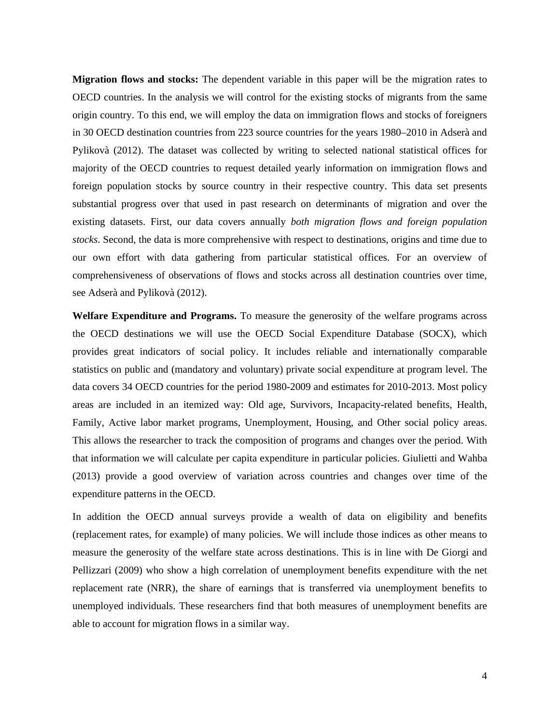**Migration flows and stocks:** The dependent variable in this paper will be the migration rates to OECD countries. In the analysis we will control for the existing stocks of migrants from the same origin country. To this end, we will employ the data on immigration flows and stocks of foreigners in 30 OECD destination countries from 223 source countries for the years 1980–2010 in Adserà and Pylikovà (2012). The dataset was collected by writing to selected national statistical offices for majority of the OECD countries to request detailed yearly information on immigration flows and foreign population stocks by source country in their respective country. This data set presents substantial progress over that used in past research on determinants of migration and over the existing datasets. First, our data covers annually *both migration flows and foreign population stocks*. Second, the data is more comprehensive with respect to destinations, origins and time due to our own effort with data gathering from particular statistical offices. For an overview of comprehensiveness of observations of flows and stocks across all destination countries over time, see Adserà and Pylikovà (2012).

**Welfare Expenditure and Programs.** To measure the generosity of the welfare programs across the OECD destinations we will use the OECD Social Expenditure Database (SOCX), which provides great indicators of social policy. It includes reliable and internationally comparable statistics on public and (mandatory and voluntary) private social expenditure at program level. The data covers 34 OECD countries for the period 1980-2009 and estimates for 2010-2013. Most policy areas are included in an itemized way: Old age, Survivors, Incapacity-related benefits, Health, Family, Active labor market programs, Unemployment, Housing, and Other social policy areas. This allows the researcher to track the composition of programs and changes over the period. With that information we will calculate per capita expenditure in particular policies. Giulietti and Wahba (2013) provide a good overview of variation across countries and changes over time of the expenditure patterns in the OECD.

In addition the OECD annual surveys provide a wealth of data on eligibility and benefits (replacement rates, for example) of many policies. We will include those indices as other means to measure the generosity of the welfare state across destinations. This is in line with De Giorgi and Pellizzari (2009) who show a high correlation of unemployment benefits expenditure with the net replacement rate (NRR), the share of earnings that is transferred via unemployment benefits to unemployed individuals. These researchers find that both measures of unemployment benefits are able to account for migration flows in a similar way.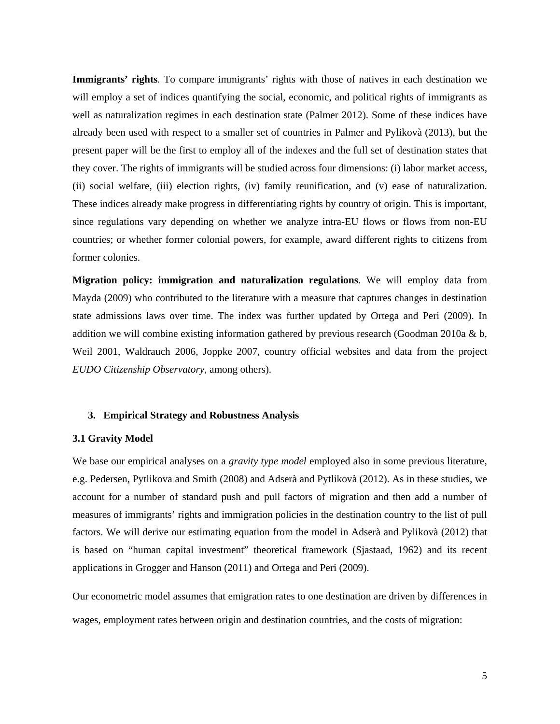**Immigrants' rights***.* To compare immigrants' rights with those of natives in each destination we will employ a set of indices quantifying the social, economic, and political rights of immigrants as well as naturalization regimes in each destination state (Palmer 2012). Some of these indices have already been used with respect to a smaller set of countries in Palmer and Pylikovà (2013), but the present paper will be the first to employ all of the indexes and the full set of destination states that they cover. The rights of immigrants will be studied across four dimensions: (i) labor market access, (ii) social welfare, (iii) election rights, (iv) family reunification, and (v) ease of naturalization. These indices already make progress in differentiating rights by country of origin. This is important, since regulations vary depending on whether we analyze intra-EU flows or flows from non-EU countries; or whether former colonial powers, for example, award different rights to citizens from former colonies.

**Migration policy: immigration and naturalization regulations**. We will employ data from Mayda (2009) who contributed to the literature with a measure that captures changes in destination state admissions laws over time. The index was further updated by Ortega and Peri (2009). In addition we will combine existing information gathered by previous research (Goodman 2010a  $\&$  b, Weil 2001, Waldrauch 2006, Joppke 2007, country official websites and data from the project *EUDO Citizenship Observatory*, among others).

## **3. Empirical Strategy and Robustness Analysis**

## **3.1 Gravity Model**

We base our empirical analyses on a *gravity type model* employed also in some previous literature, e.g. Pedersen, Pytlikova and Smith (2008) and Adserà and Pytlikovà (2012). As in these studies, we account for a number of standard push and pull factors of migration and then add a number of measures of immigrants' rights and immigration policies in the destination country to the list of pull factors. We will derive our estimating equation from the model in Adserà and Pylikovà (2012) that is based on "human capital investment" theoretical framework (Sjastaad, 1962) and its recent applications in Grogger and Hanson (2011) and Ortega and Peri (2009).

Our econometric model assumes that emigration rates to one destination are driven by differences in wages, employment rates between origin and destination countries, and the costs of migration: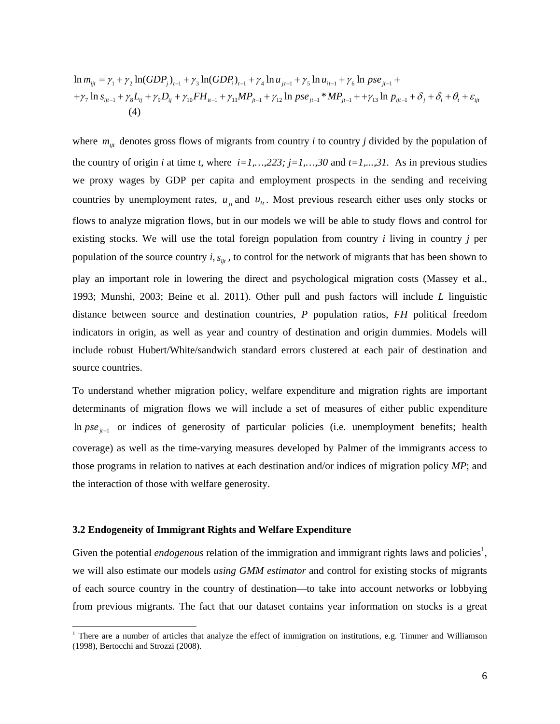$$
\ln m_{ijt} = \gamma_1 + \gamma_2 \ln(GDP_j)_{t-1} + \gamma_3 \ln(GDP_i)_{t-1} + \gamma_4 \ln u_{jt-1} + \gamma_5 \ln u_{it-1} + \gamma_6 \ln pse_{jt-1} +
$$
  
+ $\gamma_7 \ln s_{ijt-1} + \gamma_8 L_{ij} + \gamma_9 D_{ij} + \gamma_{10} FH_{it-1} + \gamma_{11} MP_{jt-1} + \gamma_{12} \ln pse_{jt-1} * MP_{jt-1} + + \gamma_{13} \ln p_{ijt-1} + \delta_j + \delta_i + \theta_t + \varepsilon_{ijt}$   
(4)

where  $m_{ijt}$  denotes gross flows of migrants from country *i* to country *j* divided by the population of the country of origin *i* at time *t*, where  $i=1,\ldots,223$ ;  $j=1,\ldots,30$  and  $t=1,\ldots,31$ . As in previous studies we proxy wages by GDP per capita and employment prospects in the sending and receiving countries by unemployment rates,  $u_{it}$  and  $u_{it}$ . Most previous research either uses only stocks or flows to analyze migration flows, but in our models we will be able to study flows and control for existing stocks. We will use the total foreign population from country *i* living in country *j* per population of the source country *i*,  $s_{\dot{m}}$ , to control for the network of migrants that has been shown to play an important role in lowering the direct and psychological migration costs (Massey et al., 1993; Munshi, 2003; Beine et al. 2011). Other pull and push factors will include *L* linguistic distance between source and destination countries, *P* population ratios, *FH* political freedom indicators in origin, as well as year and country of destination and origin dummies. Models will include robust Hubert/White/sandwich standard errors clustered at each pair of destination and source countries.

To understand whether migration policy, welfare expenditure and migration rights are important determinants of migration flows we will include a set of measures of either public expenditure In  $pse_{i-1}$  or indices of generosity of particular policies (i.e. unemployment benefits; health coverage) as well as the time-varying measures developed by Palmer of the immigrants access to those programs in relation to natives at each destination and/or indices of migration policy *MP*; and the interaction of those with welfare generosity.

## **3.2 Endogeneity of Immigrant Rights and Welfare Expenditure**

 $\overline{a}$ 

Given the potential *endogenous* relation of the immigration and immigrant rights laws and policies<sup>1</sup>, we will also estimate our models *using GMM estimator* and control for existing stocks of migrants of each source country in the country of destination—to take into account networks or lobbying from previous migrants. The fact that our dataset contains year information on stocks is a great

<sup>&</sup>lt;sup>1</sup> There are a number of articles that analyze the effect of immigration on institutions, e.g. Timmer and Williamson (1998), Bertocchi and Strozzi (2008).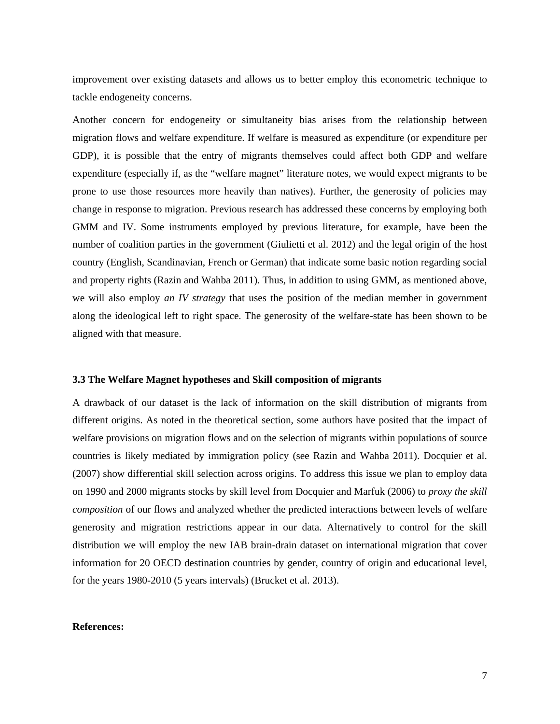improvement over existing datasets and allows us to better employ this econometric technique to tackle endogeneity concerns.

Another concern for endogeneity or simultaneity bias arises from the relationship between migration flows and welfare expenditure. If welfare is measured as expenditure (or expenditure per GDP), it is possible that the entry of migrants themselves could affect both GDP and welfare expenditure (especially if, as the "welfare magnet" literature notes, we would expect migrants to be prone to use those resources more heavily than natives). Further, the generosity of policies may change in response to migration. Previous research has addressed these concerns by employing both GMM and IV. Some instruments employed by previous literature, for example, have been the number of coalition parties in the government (Giulietti et al. 2012) and the legal origin of the host country (English, Scandinavian, French or German) that indicate some basic notion regarding social and property rights (Razin and Wahba 2011). Thus, in addition to using GMM, as mentioned above, we will also employ *an IV strategy* that uses the position of the median member in government along the ideological left to right space. The generosity of the welfare-state has been shown to be aligned with that measure.

## **3.3 The Welfare Magnet hypotheses and Skill composition of migrants**

A drawback of our dataset is the lack of information on the skill distribution of migrants from different origins. As noted in the theoretical section, some authors have posited that the impact of welfare provisions on migration flows and on the selection of migrants within populations of source countries is likely mediated by immigration policy (see Razin and Wahba 2011). Docquier et al. (2007) show differential skill selection across origins. To address this issue we plan to employ data on 1990 and 2000 migrants stocks by skill level from Docquier and Marfuk (2006) to *proxy the skill composition* of our flows and analyzed whether the predicted interactions between levels of welfare generosity and migration restrictions appear in our data. Alternatively to control for the skill distribution we will employ the new IAB brain-drain dataset on international migration that cover information for 20 OECD destination countries by gender, country of origin and educational level, for the years 1980-2010 (5 years intervals) (Brucket et al. 2013).

#### **References:**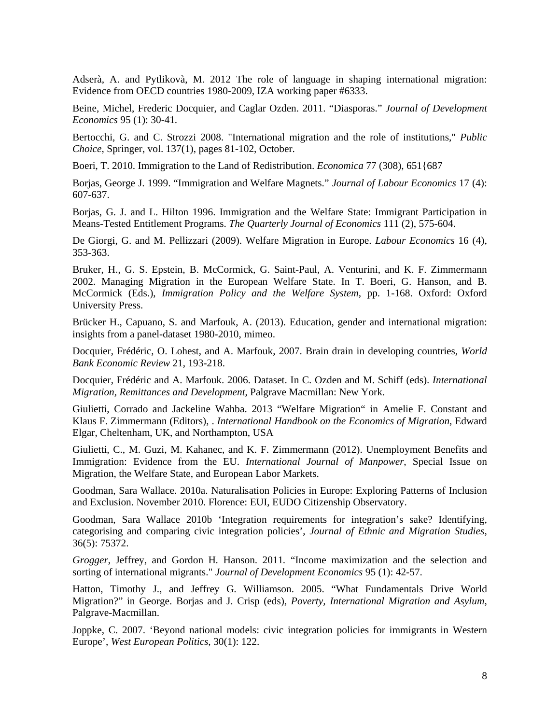Adserà, A. and Pytlikovà, M. 2012 The role of language in shaping international migration: Evidence from OECD countries 1980-2009, IZA working paper #6333.

Beine, Michel, Frederic Docquier, and Caglar Ozden. 2011. "Diasporas." *Journal of Development Economics* 95 (1): 30-41*.* 

Bertocchi, G. and C. Strozzi 2008. "International migration and the role of institutions," *Public Choice*, Springer, vol. 137(1), pages 81-102, October.

Boeri, T. 2010. Immigration to the Land of Redistribution. *Economica* 77 (308), 651{687

Borjas, George J. 1999. "Immigration and Welfare Magnets." *Journal of Labour Economics* 17 (4): 607-637.

Borjas, G. J. and L. Hilton 1996. Immigration and the Welfare State: Immigrant Participation in Means-Tested Entitlement Programs. *The Quarterly Journal of Economics* 111 (2), 575-604.

De Giorgi, G. and M. Pellizzari (2009). Welfare Migration in Europe. *Labour Economics* 16 (4), 353-363.

Bruker, H., G. S. Epstein, B. McCormick, G. Saint-Paul, A. Venturini, and K. F. Zimmermann 2002. Managing Migration in the European Welfare State. In T. Boeri, G. Hanson, and B. McCormick (Eds.), *Immigration Policy and the Welfare System*, pp. 1-168. Oxford: Oxford University Press.

Brücker H., Capuano, S. and Marfouk, A. (2013). Education, gender and international migration: insights from a panel-dataset 1980-2010, mimeo.

Docquier, Frédéric, O. Lohest, and A. Marfouk, 2007. Brain drain in developing countries, *World Bank Economic Review* 21, 193-218.

Docquier, Frédéric and A. Marfouk. 2006. Dataset. In C. Ozden and M. Schiff (eds). *International Migration, Remittances and Development*, Palgrave Macmillan: New York.

Giulietti, Corrado and Jackeline Wahba. 2013 "Welfare Migration" in Amelie F. Constant and Klaus F. Zimmermann (Editors), . *International Handbook on the Economics of Migration*, Edward Elgar, Cheltenham, UK, and Northampton, USA

Giulietti, C., M. Guzi, M. Kahanec, and K. F. Zimmermann (2012). Unemployment Benefits and Immigration: Evidence from the EU. *International Journal of Manpower*, Special Issue on Migration, the Welfare State, and European Labor Markets.

Goodman, Sara Wallace. 2010a. Naturalisation Policies in Europe: Exploring Patterns of Inclusion and Exclusion. November 2010. Florence: EUI, EUDO Citizenship Observatory.

Goodman, Sara Wallace 2010b 'Integration requirements for integration's sake? Identifying, categorising and comparing civic integration policies', *Journal of Ethnic and Migration Studies*, 36(5): 75372.

*Grogger*, Jeffrey, and Gordon H*.* Hanson. 2011*.* "Income maximization and the selection and sorting of international migrants." *Journal of Development Economics* 95 (1): 42-57.

Hatton, Timothy J., and Jeffrey G. Williamson. 2005. "What Fundamentals Drive World Migration?" in George. Borjas and J. Crisp (eds), *Poverty, International Migration and Asylum*, Palgrave-Macmillan.

Joppke, C. 2007. 'Beyond national models: civic integration policies for immigrants in Western Europe', *West European Politics*, 30(1): 122.